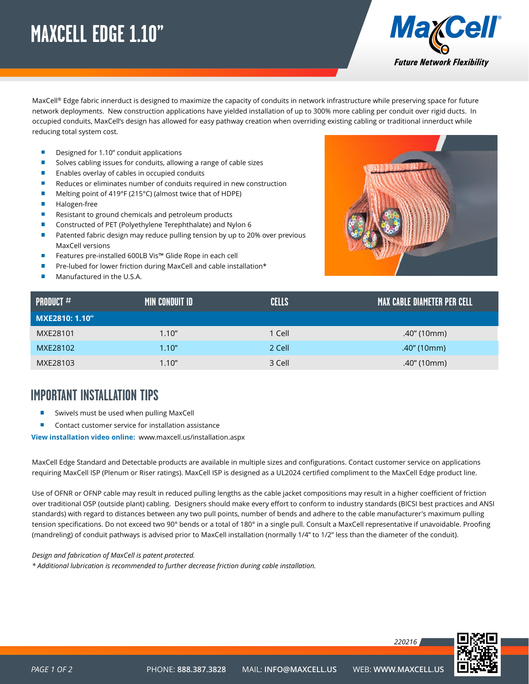## <span id="page-0-0"></span>**MAXCELL EDGE 1.10"**



MaxCell® Edge fabric innerduct is designed to maximize the capacity of conduits in network infrastructure while preserving space for future network deployments. New construction applications have yielded installation of up to 300% more cabling per conduit over rigid ducts. In occupied conduits, MaxCell's design has allowed for easy pathway creation when overriding existing cabling or traditional innerduct while reducing total system cost.

- Designed for 1.10" conduit applications П
- $\overline{\phantom{a}}$ Solves cabling issues for conduits, allowing a range of cable sizes
- $\Box$ Enables overlay of cables in occupied conduits
- $\blacksquare$ Reduces or eliminates number of conduits required in new construction
- Melting point of 419°F (215°C) (almost twice that of HDPE) П
- $\blacksquare$ Halogen-free
- Ħ Resistant to ground chemicals and petroleum products
- п Constructed of PET (Polyethylene Terephthalate) and Nylon 6
- Ħ Patented fabric design may reduce pulling tension by up to 20% over previous MaxCell versions
- Ħ Features pre-installed 600LB Vis™ Glide Rope in each cell
- Pre-lubed for lower friction during MaxCell and cable installation\*
- Manufactured in the U.S.A.



| <b>PRODUCT</b> $#$ | MIN CONDUIT ID | <b>CELLS</b> | I MAX CABLE DIAMETER PER CELL' |
|--------------------|----------------|--------------|--------------------------------|
| MXE2810: 1.10"     |                |              |                                |
| MXE28101           | 1.10''         | 1 Cell       | .40" (10mm)                    |
| MXE28102           | 1.10''         | 2 Cell       | .40" (10mm)                    |
| MXE28103           | 1.10''         | 3 Cell       | .40" (10mm)                    |

### **IMPORTANT INSTALLATION TIPS**

- Swivels must be used when pulling MaxCell
- Contact customer service for installation assistance

**View installation video online:** www.maxcell.us/installation.aspx

MaxCell Edge Standard and Detectable products are available in multiple sizes and configurations. Contact customer service on applications requiring MaxCell ISP (Plenum or Riser ratings). MaxCell ISP is designed as a UL2024 certified compliment to the MaxCell Edge product line.

Use of OFNR or OFNP cable may result in reduced pulling lengths as the cable jacket compositions may result in a higher coefficient of friction over traditional OSP (outside plant) cabling. Designers should make every effort to conform to industry standards (BICSI best practices and ANSI standards) with regard to distances between any two pull points, number of bends and adhere to the cable manufacturer's maximum pulling tension specifications. Do not exceed two 90° bends or a total of 180° in a single pull. Consult a MaxCell representative if unavoidable. Proofing (mandreling) of conduit pathways is advised prior to MaxCell installation (normally 1/4" to 1/2" less than the diameter of the conduit).

#### *Design and fabrication of MaxCell is patent protected.*

*\* Additional lubrication is recommended to further decrease friction during cable installation.*

*220216*